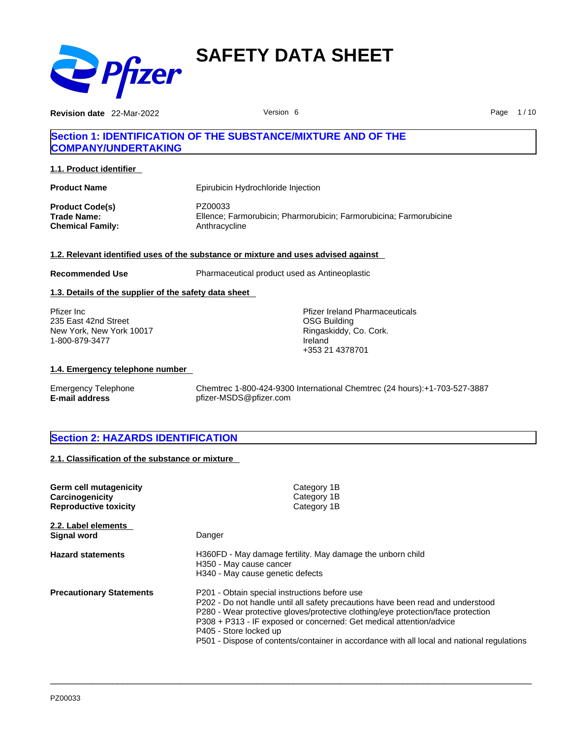

**Revision date** 22-Mar-2022 **Page 1/10** Version 6 **Page 1/10** Page 1/10

# **Section 1: IDENTIFICATION OF THE SUBSTANCE/MIXTURE AND OF THE COMPANY/UNDERTAKING**

**1.1. Product identifier** 

| <b>Product Name</b>     | Epirubicin Hydrochloride Injection                                 |
|-------------------------|--------------------------------------------------------------------|
| <b>Product Code(s)</b>  | PZ00033                                                            |
| Trade Name:             | Ellence: Farmorubicin: Pharmorubicin: Farmorubicina: Farmorubicine |
| <b>Chemical Family:</b> | Anthracycline                                                      |

#### **1.2. Relevant identified uses of the substance or mixture and uses advised against**

**Recommended Use** Pharmaceutical product used as Antineoplastic

### **1.3. Details of the supplier of the safety data sheet**

Pfizer Inc 235 East 42nd Street New York, New York 10017 1-800-879-3477

Pfizer Ireland Pharmaceuticals OSG Building Ringaskiddy, Co. Cork. Ireland +353 21 4378701

## **1.4. Emergency telephone number**

Emergency Telephone Chemtrec 1-800-424-9300 International Chemtrec (24 hours):+1-703-527-3887 **E-mail address** pfizer-MSDS@pfizer.com

# **Section 2: HAZARDS IDENTIFICATION**

**2.1. Classification of the substance or mixture**

| Germ cell mutagenicity<br>Carcinogenicity<br><b>Reproductive toxicity</b> | Category 1B<br>Category 1B<br>Category 1B                                                                                                                                                                                                                                                                                                                                                                           |
|---------------------------------------------------------------------------|---------------------------------------------------------------------------------------------------------------------------------------------------------------------------------------------------------------------------------------------------------------------------------------------------------------------------------------------------------------------------------------------------------------------|
| 2.2. Label elements<br>Signal word                                        | Danger                                                                                                                                                                                                                                                                                                                                                                                                              |
| <b>Hazard statements</b>                                                  | H360FD - May damage fertility. May damage the unborn child<br>H350 - May cause cancer<br>H340 - May cause genetic defects                                                                                                                                                                                                                                                                                           |
| <b>Precautionary Statements</b>                                           | P201 - Obtain special instructions before use<br>P202 - Do not handle until all safety precautions have been read and understood<br>P280 - Wear protective gloves/protective clothing/eye protection/face protection<br>P308 + P313 - IF exposed or concerned: Get medical attention/advice<br>P405 - Store locked up<br>P501 - Dispose of contents/container in accordance with all local and national regulations |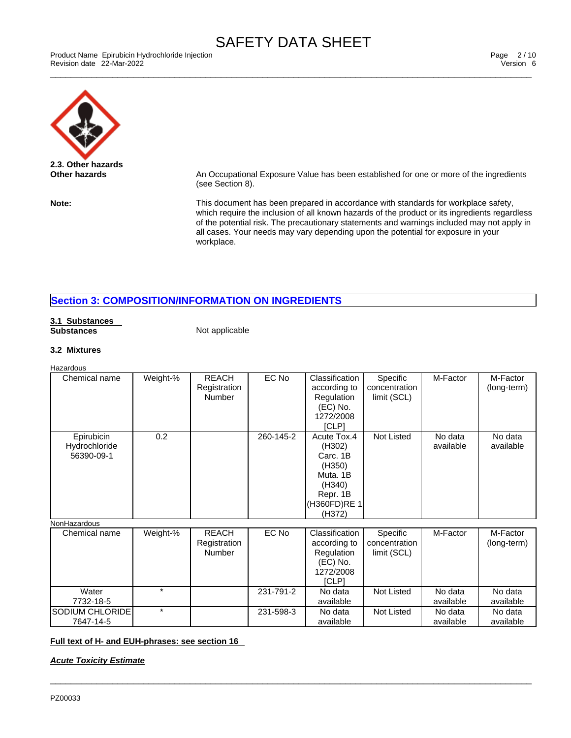\_\_\_\_\_\_\_\_\_\_\_\_\_\_\_\_\_\_\_\_\_\_\_\_\_\_\_\_\_\_\_\_\_\_\_\_\_\_\_\_\_\_\_\_\_\_\_\_\_\_\_\_\_\_\_\_\_\_\_\_\_\_\_\_\_\_\_\_\_\_\_\_\_\_\_\_\_\_\_\_\_\_\_\_\_\_\_\_\_\_\_\_\_ Product Name Epirubicin Hydrochloride Injection Page 2 / 10 Revision date 22-Mar-2022 Version 6



**Other hazards An Occupational Exposure Value has been established for one or more of the ingredients** (see Section 8).

**Note:** This document has been prepared in accordance with standards for workplace safety, which require the inclusion of all known hazards of the product or its ingredients regardless of the potential risk. The precautionary statements and warnings included may not apply in all cases. Your needs may vary depending upon the potential for exposure in your workplace.

# **Section 3: COMPOSITION/INFORMATION ON INGREDIENTS**

#### **3.1 Substances Substances** Not applicable

### **3.2 Mixtures**

| Hazardous                                 |          |                                               |           |                                                                                                         |                                          |                      |                         |
|-------------------------------------------|----------|-----------------------------------------------|-----------|---------------------------------------------------------------------------------------------------------|------------------------------------------|----------------------|-------------------------|
| Chemical name                             | Weight-% | <b>REACH</b><br>Registration<br><b>Number</b> | EC No     | Classification<br>according to<br>Regulation<br>(EC) No.<br>1272/2008<br>[CLP]                          | Specific<br>concentration<br>limit (SCL) | M-Factor             | M-Factor<br>(long-term) |
| Epirubicin<br>Hydrochloride<br>56390-09-1 | 0.2      |                                               | 260-145-2 | Acute Tox.4<br>(H302)<br>Carc. 1B<br>(H350)<br>Muta, 1B<br>(H340)<br>Repr. 1B<br>(H360FD)RE 1<br>(H372) | Not Listed                               | No data<br>available | No data<br>available    |
| NonHazardous                              |          |                                               |           |                                                                                                         |                                          |                      |                         |
| Chemical name                             | Weight-% | <b>REACH</b><br>Registration<br><b>Number</b> | EC No     | Classification<br>according to<br>Regulation<br>(EC) No.<br>1272/2008<br>[CLP]                          | Specific<br>concentration<br>limit (SCL) | M-Factor             | M-Factor<br>(long-term) |
| Water<br>7732-18-5                        | $\star$  |                                               | 231-791-2 | No data<br>available                                                                                    | <b>Not Listed</b>                        | No data<br>available | No data<br>available    |

231-598-3 | No data

 $\_$  ,  $\_$  ,  $\_$  ,  $\_$  ,  $\_$  ,  $\_$  ,  $\_$  ,  $\_$  ,  $\_$  ,  $\_$  ,  $\_$  ,  $\_$  ,  $\_$  ,  $\_$  ,  $\_$  ,  $\_$  ,  $\_$  ,  $\_$  ,  $\_$  ,  $\_$  ,  $\_$  ,  $\_$  ,  $\_$  ,  $\_$  ,  $\_$  ,  $\_$  ,  $\_$  ,  $\_$  ,  $\_$  ,  $\_$  ,  $\_$  ,  $\_$  ,  $\_$  ,  $\_$  ,  $\_$  ,  $\_$  ,  $\_$  ,

available

Not Listed | No data

available

No data available

# **Full text of H- and EUH-phrases: see section 16**

*Acute Toxicity Estimate*

SODIUM CHLORIDE 7647-14-5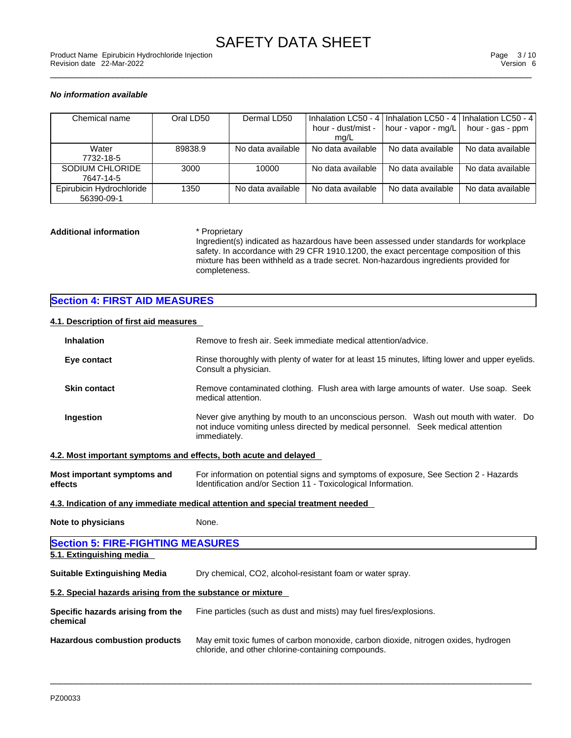### *No information available*

| Chemical name                          | Oral LD50 | Dermal LD50       | Inhalation LC50 - 4<br>hour - dust/mist -<br>mq/L | I Inhalation LC50 - 4 L<br>hour - vapor - mg/L | l Inhalation LC50 - 4 l<br>hour - gas - ppm |
|----------------------------------------|-----------|-------------------|---------------------------------------------------|------------------------------------------------|---------------------------------------------|
| Water<br>7732-18-5                     | 89838.9   | No data available | No data available                                 | No data available                              | No data available                           |
| SODIUM CHLORIDE<br>7647-14-5           | 3000      | 10000             | No data available                                 | No data available                              | No data available                           |
| Epirubicin Hydrochloride<br>56390-09-1 | 1350      | No data available | No data available                                 | No data available                              | No data available                           |

#### **Additional information** \* Proprietary

Ingredient(s) indicated as hazardous have been assessed under standards for workplace safety. In accordance with 29 CFR 1910.1200, the exact percentage composition of this mixture has been withheld as a trade secret. Non-hazardous ingredients provided for completeness.

# **Section 4: FIRST AID MEASURES**

# **4.1. Description of first aid measures**

| <b>Inhalation</b>                                                | Remove to fresh air. Seek immediate medical attention/advice.                                                                                                                            |
|------------------------------------------------------------------|------------------------------------------------------------------------------------------------------------------------------------------------------------------------------------------|
| Eye contact                                                      | Rinse thoroughly with plenty of water for at least 15 minutes, lifting lower and upper eyelids.<br>Consult a physician.                                                                  |
| <b>Skin contact</b>                                              | Remove contaminated clothing. Flush area with large amounts of water. Use soap. Seek<br>medical attention.                                                                               |
| Ingestion                                                        | Never give anything by mouth to an unconscious person. Wash out mouth with water. Do<br>not induce vomiting unless directed by medical personnel. Seek medical attention<br>immediately. |
| 4.2. Most important symptoms and effects, both acute and delayed |                                                                                                                                                                                          |
| <b>Most important symptoms and</b><br>effects                    | For information on potential signs and symptoms of exposure, See Section 2 - Hazards<br>Identification and/or Section 11 - Toxicological Information.                                    |
|                                                                  | 4.3. Indication of any immediate medical attention and special treatment needed                                                                                                          |
| <b>Note to physicians</b>                                        | None.                                                                                                                                                                                    |
| <b>Section 5: FIRE-FIGHTING MEASURES</b>                         |                                                                                                                                                                                          |
| 5.1. Extinguishing media                                         |                                                                                                                                                                                          |
| <b>Suitable Extinguishing Media</b>                              | Dry chemical, CO2, alcohol-resistant foam or water spray.                                                                                                                                |
| 5.2. Special hazards arising from the substance or mixture       |                                                                                                                                                                                          |
| Specific hazards arising from the<br>chemical                    | Fine particles (such as dust and mists) may fuel fires/explosions.                                                                                                                       |
| <b>Hazardous combustion products</b>                             | May emit toxic fumes of carbon monoxide, carbon dioxide, nitrogen oxides, hydrogen<br>chloride, and other chlorine-containing compounds.                                                 |
|                                                                  |                                                                                                                                                                                          |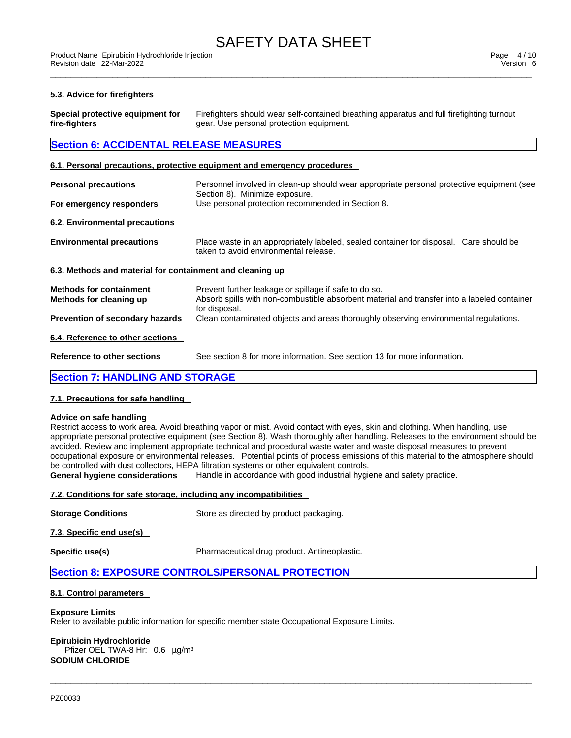#### **5.3. Advice for firefighters**

| Special protective equipment for | Firefighters should wear self-contained breathing apparatus and full firefighting turnout |
|----------------------------------|-------------------------------------------------------------------------------------------|
| fire-fighters                    | gear. Use personal protection equipment.                                                  |

# **Section 6: ACCIDENTAL RELEASE MEASURES**

#### **6.1. Personal precautions, protective equipment and emergency procedures**

| <b>Personal precautions</b>                               | Personnel involved in clean-up should wear appropriate personal protective equipment (see<br>Section 8). Minimize exposure.                                           |
|-----------------------------------------------------------|-----------------------------------------------------------------------------------------------------------------------------------------------------------------------|
| For emergency responders                                  | Use personal protection recommended in Section 8.                                                                                                                     |
| 6.2. Environmental precautions                            |                                                                                                                                                                       |
| <b>Environmental precautions</b>                          | Place waste in an appropriately labeled, sealed container for disposal. Care should be<br>taken to avoid environmental release.                                       |
| 6.3. Methods and material for containment and cleaning up |                                                                                                                                                                       |
| <b>Methods for containment</b><br>Methods for cleaning up | Prevent further leakage or spillage if safe to do so.<br>Absorb spills with non-combustible absorbent material and transfer into a labeled container<br>for disposal. |
| <b>Prevention of secondary hazards</b>                    | Clean contaminated objects and areas thoroughly observing environmental regulations.                                                                                  |
| 6.4. Reference to other sections                          |                                                                                                                                                                       |
| <b>Reference to other sections</b>                        | See section 8 for more information. See section 13 for more information.                                                                                              |
| <b>Section 7: HANDLING AND STORAGE</b>                    |                                                                                                                                                                       |

# **7.1. Precautions for safe handling**

#### **Advice on safe handling**

Restrict access to work area. Avoid breathing vapor or mist. Avoid contact with eyes, skin and clothing. When handling, use appropriate personal protective equipment (see Section 8). Wash thoroughly after handling. Releases to the environment should be avoided. Review and implement appropriate technical and procedural waste water and waste disposal measures to prevent occupational exposure or environmental releases. Potential points of process emissions of this material to the atmosphere should be controlled with dust collectors, HEPA filtration systems or other equivalent controls.

 $\_$  ,  $\_$  ,  $\_$  ,  $\_$  ,  $\_$  ,  $\_$  ,  $\_$  ,  $\_$  ,  $\_$  ,  $\_$  ,  $\_$  ,  $\_$  ,  $\_$  ,  $\_$  ,  $\_$  ,  $\_$  ,  $\_$  ,  $\_$  ,  $\_$  ,  $\_$  ,  $\_$  ,  $\_$  ,  $\_$  ,  $\_$  ,  $\_$  ,  $\_$  ,  $\_$  ,  $\_$  ,  $\_$  ,  $\_$  ,  $\_$  ,  $\_$  ,  $\_$  ,  $\_$  ,  $\_$  ,  $\_$  ,  $\_$  ,

**General hygiene considerations** Handle in accordance with good industrial hygiene and safety practice.

## **7.2. Conditions for safe storage, including any incompatibilities**

**Storage Conditions** Store as directed by product packaging.

**7.3. Specific end use(s)** 

**Specific use(s) Pharmaceutical drug product. Antineoplastic.** 

# **Section 8: EXPOSURE CONTROLS/PERSONAL PROTECTION**

#### **8.1. Control parameters**

#### **Exposure Limits**

Refer to available public information for specific member state Occupational Exposure Limits.

#### **Epirubicin Hydrochloride**

Pfizer OEL TWA-8 Hr: 0.6 µg/m<sup>3</sup> **SODIUM CHLORIDE**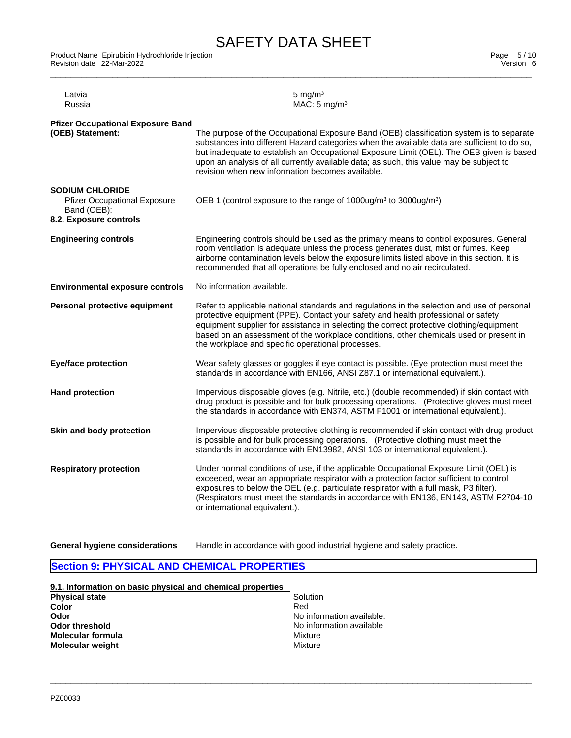\_\_\_\_\_\_\_\_\_\_\_\_\_\_\_\_\_\_\_\_\_\_\_\_\_\_\_\_\_\_\_\_\_\_\_\_\_\_\_\_\_\_\_\_\_\_\_\_\_\_\_\_\_\_\_\_\_\_\_\_\_\_\_\_\_\_\_\_\_\_\_\_\_\_\_\_\_\_\_\_\_\_\_\_\_\_\_\_\_\_\_\_\_ Product Name Epirubicin Hydrochloride Injection Page 5 / 10 Revision date 22-Mar-2022 Version 6

| <b>Pfizer Occupational Exposure Band</b><br>(OEB) Statement:<br>The purpose of the Occupational Exposure Band (OEB) classification system is to separate<br>substances into different Hazard categories when the available data are sufficient to do so,<br>but inadequate to establish an Occupational Exposure Limit (OEL). The OEB given is based<br>upon an analysis of all currently available data; as such, this value may be subject to<br>revision when new information becomes available.<br><b>SODIUM CHLORIDE</b><br>OEB 1 (control exposure to the range of 1000ug/m <sup>3</sup> to 3000ug/m <sup>3</sup> )<br><b>Pfizer Occupational Exposure</b><br>Band (OEB):<br>8.2. Exposure controls<br><b>Engineering controls</b><br>Engineering controls should be used as the primary means to control exposures. General<br>room ventilation is adequate unless the process generates dust, mist or fumes. Keep<br>airborne contamination levels below the exposure limits listed above in this section. It is<br>recommended that all operations be fully enclosed and no air recirculated.<br><b>Environmental exposure controls</b><br>No information available.<br>Refer to applicable national standards and regulations in the selection and use of personal<br>Personal protective equipment<br>protective equipment (PPE). Contact your safety and health professional or safety<br>equipment supplier for assistance in selecting the correct protective clothing/equipment<br>based on an assessment of the workplace conditions, other chemicals used or present in<br>the workplace and specific operational processes.<br><b>Eye/face protection</b><br>Wear safety glasses or goggles if eye contact is possible. (Eye protection must meet the<br>standards in accordance with EN166, ANSI Z87.1 or international equivalent.).<br>Impervious disposable gloves (e.g. Nitrile, etc.) (double recommended) if skin contact with<br><b>Hand protection</b><br>drug product is possible and for bulk processing operations. (Protective gloves must meet<br>the standards in accordance with EN374, ASTM F1001 or international equivalent.).<br>Skin and body protection<br>Impervious disposable protective clothing is recommended if skin contact with drug product<br>is possible and for bulk processing operations. (Protective clothing must meet the<br>standards in accordance with EN13982, ANSI 103 or international equivalent.).<br>Under normal conditions of use, if the applicable Occupational Exposure Limit (OEL) is<br><b>Respiratory protection</b><br>exceeded, wear an appropriate respirator with a protection factor sufficient to control<br>exposures to below the OEL (e.g. particulate respirator with a full mask, P3 filter).<br>(Respirators must meet the standards in accordance with EN136, EN143, ASTM F2704-10<br>or international equivalent.). | Latvia<br>Russia | 5 mg/m $3$<br>MAC: $5 \text{ mg/m}^3$ |
|--------------------------------------------------------------------------------------------------------------------------------------------------------------------------------------------------------------------------------------------------------------------------------------------------------------------------------------------------------------------------------------------------------------------------------------------------------------------------------------------------------------------------------------------------------------------------------------------------------------------------------------------------------------------------------------------------------------------------------------------------------------------------------------------------------------------------------------------------------------------------------------------------------------------------------------------------------------------------------------------------------------------------------------------------------------------------------------------------------------------------------------------------------------------------------------------------------------------------------------------------------------------------------------------------------------------------------------------------------------------------------------------------------------------------------------------------------------------------------------------------------------------------------------------------------------------------------------------------------------------------------------------------------------------------------------------------------------------------------------------------------------------------------------------------------------------------------------------------------------------------------------------------------------------------------------------------------------------------------------------------------------------------------------------------------------------------------------------------------------------------------------------------------------------------------------------------------------------------------------------------------------------------------------------------------------------------------------------------------------------------------------------------------------------------------------------------------------------------------------------------------------------------------------------------------------------------------------------------------------------------------------------------------------------------------------------------------------------------------------------------------------------------------------------------------------------------------------------------------------------------------------------------------------|------------------|---------------------------------------|
|                                                                                                                                                                                                                                                                                                                                                                                                                                                                                                                                                                                                                                                                                                                                                                                                                                                                                                                                                                                                                                                                                                                                                                                                                                                                                                                                                                                                                                                                                                                                                                                                                                                                                                                                                                                                                                                                                                                                                                                                                                                                                                                                                                                                                                                                                                                                                                                                                                                                                                                                                                                                                                                                                                                                                                                                                                                                                                              |                  |                                       |
|                                                                                                                                                                                                                                                                                                                                                                                                                                                                                                                                                                                                                                                                                                                                                                                                                                                                                                                                                                                                                                                                                                                                                                                                                                                                                                                                                                                                                                                                                                                                                                                                                                                                                                                                                                                                                                                                                                                                                                                                                                                                                                                                                                                                                                                                                                                                                                                                                                                                                                                                                                                                                                                                                                                                                                                                                                                                                                              |                  |                                       |
|                                                                                                                                                                                                                                                                                                                                                                                                                                                                                                                                                                                                                                                                                                                                                                                                                                                                                                                                                                                                                                                                                                                                                                                                                                                                                                                                                                                                                                                                                                                                                                                                                                                                                                                                                                                                                                                                                                                                                                                                                                                                                                                                                                                                                                                                                                                                                                                                                                                                                                                                                                                                                                                                                                                                                                                                                                                                                                              |                  |                                       |
|                                                                                                                                                                                                                                                                                                                                                                                                                                                                                                                                                                                                                                                                                                                                                                                                                                                                                                                                                                                                                                                                                                                                                                                                                                                                                                                                                                                                                                                                                                                                                                                                                                                                                                                                                                                                                                                                                                                                                                                                                                                                                                                                                                                                                                                                                                                                                                                                                                                                                                                                                                                                                                                                                                                                                                                                                                                                                                              |                  |                                       |
|                                                                                                                                                                                                                                                                                                                                                                                                                                                                                                                                                                                                                                                                                                                                                                                                                                                                                                                                                                                                                                                                                                                                                                                                                                                                                                                                                                                                                                                                                                                                                                                                                                                                                                                                                                                                                                                                                                                                                                                                                                                                                                                                                                                                                                                                                                                                                                                                                                                                                                                                                                                                                                                                                                                                                                                                                                                                                                              |                  |                                       |
|                                                                                                                                                                                                                                                                                                                                                                                                                                                                                                                                                                                                                                                                                                                                                                                                                                                                                                                                                                                                                                                                                                                                                                                                                                                                                                                                                                                                                                                                                                                                                                                                                                                                                                                                                                                                                                                                                                                                                                                                                                                                                                                                                                                                                                                                                                                                                                                                                                                                                                                                                                                                                                                                                                                                                                                                                                                                                                              |                  |                                       |
|                                                                                                                                                                                                                                                                                                                                                                                                                                                                                                                                                                                                                                                                                                                                                                                                                                                                                                                                                                                                                                                                                                                                                                                                                                                                                                                                                                                                                                                                                                                                                                                                                                                                                                                                                                                                                                                                                                                                                                                                                                                                                                                                                                                                                                                                                                                                                                                                                                                                                                                                                                                                                                                                                                                                                                                                                                                                                                              |                  |                                       |
|                                                                                                                                                                                                                                                                                                                                                                                                                                                                                                                                                                                                                                                                                                                                                                                                                                                                                                                                                                                                                                                                                                                                                                                                                                                                                                                                                                                                                                                                                                                                                                                                                                                                                                                                                                                                                                                                                                                                                                                                                                                                                                                                                                                                                                                                                                                                                                                                                                                                                                                                                                                                                                                                                                                                                                                                                                                                                                              |                  |                                       |
|                                                                                                                                                                                                                                                                                                                                                                                                                                                                                                                                                                                                                                                                                                                                                                                                                                                                                                                                                                                                                                                                                                                                                                                                                                                                                                                                                                                                                                                                                                                                                                                                                                                                                                                                                                                                                                                                                                                                                                                                                                                                                                                                                                                                                                                                                                                                                                                                                                                                                                                                                                                                                                                                                                                                                                                                                                                                                                              |                  |                                       |

**General hygiene considerations** Handle in accordance with good industrial hygiene and safety practice.

 $\_$  ,  $\_$  ,  $\_$  ,  $\_$  ,  $\_$  ,  $\_$  ,  $\_$  ,  $\_$  ,  $\_$  ,  $\_$  ,  $\_$  ,  $\_$  ,  $\_$  ,  $\_$  ,  $\_$  ,  $\_$  ,  $\_$  ,  $\_$  ,  $\_$  ,  $\_$  ,  $\_$  ,  $\_$  ,  $\_$  ,  $\_$  ,  $\_$  ,  $\_$  ,  $\_$  ,  $\_$  ,  $\_$  ,  $\_$  ,  $\_$  ,  $\_$  ,  $\_$  ,  $\_$  ,  $\_$  ,  $\_$  ,  $\_$  ,

# **Section 9: PHYSICAL AND CHEMICAL PROPERTIES**

**9.1. Information on basic physical and chemical properties Physical state** Solution **Solution** Solution **Color** Red **Odor Odor Odor Odor Odor COLLECTE Odor threshold COLLECTE COLLECTE COLLECTE COLLECTE COLLECTE COLLECTE COLLECTE COLLECTE COLLECTE COLLECTE COLLECTE COLLECTE COLLECTE COLLECTE COLL No information available**<br>Mixture **Molecular formula**<br> **Molecular weight**<br> **Molecular weight Molecular** weight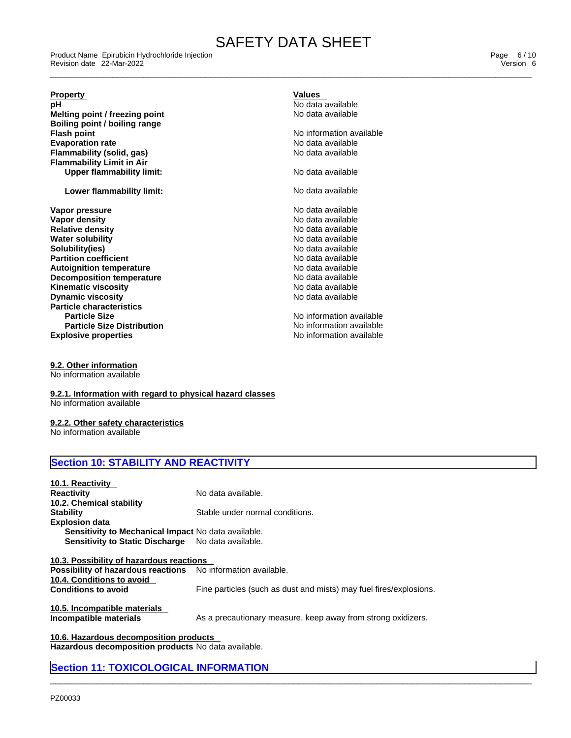\_\_\_\_\_\_\_\_\_\_\_\_\_\_\_\_\_\_\_\_\_\_\_\_\_\_\_\_\_\_\_\_\_\_\_\_\_\_\_\_\_\_\_\_\_\_\_\_\_\_\_\_\_\_\_\_\_\_\_\_\_\_\_\_\_\_\_\_\_\_\_\_\_\_\_\_\_\_\_\_\_\_\_\_\_\_\_\_\_\_\_\_\_ Product Name Epirubicin Hydrochloride Injection Page 6 / 10 Revision date 22-Mar-2022 Version 6

#### **Property Values**

**pH**<br> **pH** No data available<br> **Melting point / freezing point**<br> **Melting point / freezing point Melting point / freezing point Boiling point / boiling range Flash point**<br> **Evaporation rate**<br> **Evaporation rate**<br> **Evaporation rate Evaporation rate**<br> **Evaporation rate** No data available<br> **Flammability (solid, gas) Flammability** (solid, gas) **Flammability Limit in Air Upper flammability limit:** No data available

**Lower flammability limit:** No data available

**Explosive properties Explosive properties notation No information available Vapor pressure**<br> **Vapor density**<br> **Vapor density**<br> **Vapor density Vapor density and all the contract of the contract of the Vapor density and available Relative density Relation Contract of the North American Contract of North American Contract of North American Contract of North Americ Relative density Water solubility No data available** No data available **Solubility(ies)** No data available **Partition coefficient**<br> **Autoignition temperature**<br> **Autoignition temperature**<br> **Autoignition temperature Autoignition temperature**<br> **Decomposition temperature**<br> **Decomposition temperature**<br> **No data available Decomposition temperature**<br> **Kinematic viscosity**<br> **Kinematic viscosity**<br> **No data available Kinematic viscosity**<br> **Discussion Discussion Contract Contract Contract Contract Contract Contract Contract Contract Contract Contract Contract Contract Contract Contract Contract Contract Contract Contract Contract Contr Dynamic viscosity Particle characteristics Particle Size** No information available **Particle Size Distribution**

No information available

**9.2. Other information** No information available

**9.2.1. Information with regard to physical hazard classes** No information available

# **9.2.2. Other safety characteristics**

No information available

# **Section 10: STABILITY AND REACTIVITY**

| 10.1. Reactivity                                             |                                                                    |
|--------------------------------------------------------------|--------------------------------------------------------------------|
| Reactivity                                                   | No data available.                                                 |
| 10.2. Chemical stability                                     |                                                                    |
| Stabilitv                                                    | Stable under normal conditions.                                    |
| <b>Explosion data</b>                                        |                                                                    |
| <b>Sensitivity to Mechanical Impact No data available.</b>   |                                                                    |
| <b>Sensitivity to Static Discharge</b>                       | No data available.                                                 |
|                                                              |                                                                    |
| 10.3. Possibility of hazardous reactions                     |                                                                    |
| Possibility of hazardous reactions No information available. |                                                                    |
| 10.4. Conditions to avoid                                    |                                                                    |
| <b>Conditions to avoid</b>                                   | Fine particles (such as dust and mists) may fuel fires/explosions. |
|                                                              |                                                                    |
| 10.5. Incompatible materials                                 |                                                                    |
| Incompatible materials                                       | As a precautionary measure, keep away from strong oxidizers.       |
|                                                              |                                                                    |

 $\_$  ,  $\_$  ,  $\_$  ,  $\_$  ,  $\_$  ,  $\_$  ,  $\_$  ,  $\_$  ,  $\_$  ,  $\_$  ,  $\_$  ,  $\_$  ,  $\_$  ,  $\_$  ,  $\_$  ,  $\_$  ,  $\_$  ,  $\_$  ,  $\_$  ,  $\_$  ,  $\_$  ,  $\_$  ,  $\_$  ,  $\_$  ,  $\_$  ,  $\_$  ,  $\_$  ,  $\_$  ,  $\_$  ,  $\_$  ,  $\_$  ,  $\_$  ,  $\_$  ,  $\_$  ,  $\_$  ,  $\_$  ,  $\_$  ,

**10.6. Hazardous decomposition products Hazardous decomposition products** No data available.

# **Section 11: TOXICOLOGICAL INFORMATION**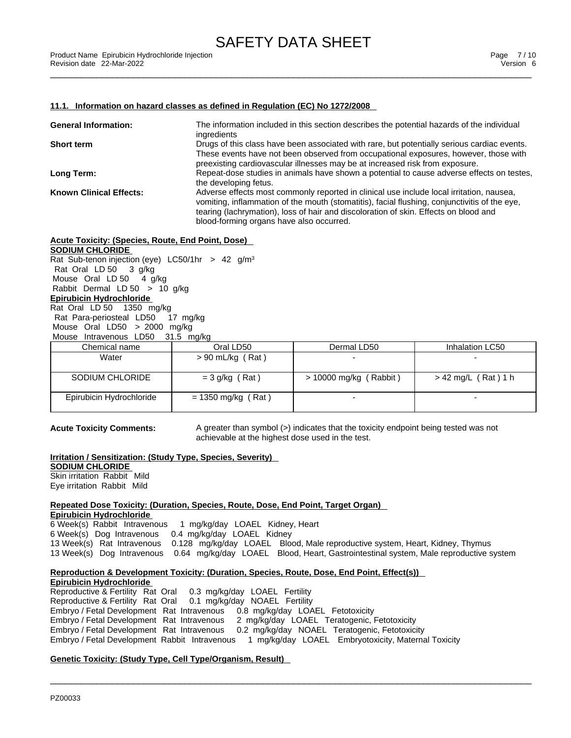#### **11.1. Information on hazard classes as defined in Regulation (EC) No 1272/2008**

| <b>General Information:</b>    | The information included in this section describes the potential hazards of the individual<br>ingredients                                                                                                                                                                                                                     |
|--------------------------------|-------------------------------------------------------------------------------------------------------------------------------------------------------------------------------------------------------------------------------------------------------------------------------------------------------------------------------|
| Short term                     | Drugs of this class have been associated with rare, but potentially serious cardiac events.<br>These events have not been observed from occupational exposures, however, those with<br>preexisting cardiovascular illnesses may be at increased risk from exposure.                                                           |
| Long Term:                     | Repeat-dose studies in animals have shown a potential to cause adverse effects on testes.<br>the developing fetus.                                                                                                                                                                                                            |
| <b>Known Clinical Effects:</b> | Adverse effects most commonly reported in clinical use include local irritation, nausea,<br>vomiting, inflammation of the mouth (stomatitis), facial flushing, conjunctivitis of the eye,<br>tearing (lachrymation), loss of hair and discoloration of skin. Effects on blood and<br>blood-forming organs have also occurred. |

#### **Acute Toxicity: (Species, Route, End Point, Dose)**

**SODIUM CHLORIDE**

Rat Sub-tenon injection (eye) LC50/1hr > 42 g/m<sup>3</sup> Rat Oral LD 50 3 g/kg Mouse Oral LD 50 4 g/kg Rabbit Dermal LD 50 > 10 g/kg **Epirubicin Hydrochloride** Rat Oral LD 50 1350 mg/kg Rat Para-periosteal LD50 17 mg/kg Mouse Oral LD50 > 2000 mg/kg Mouse Intravenous LD50 31.5 mg/kg

| Chemical name            | Oral LD50            | Dermal LD50              | Inhalation LC50       |
|--------------------------|----------------------|--------------------------|-----------------------|
| Water                    | $> 90$ mL/kg (Rat)   |                          |                       |
|                          |                      |                          |                       |
| SODIUM CHLORIDE          | $=$ 3 g/kg (Rat)     | $>$ 10000 mg/kg (Rabbit) | $>$ 42 mg/L (Rat) 1 h |
| Epirubicin Hydrochloride | $= 1350$ mg/kg (Rat) |                          |                       |
|                          |                      |                          |                       |

**Acute Toxicity Comments:** A greater than symbol (>) indicates that the toxicity endpoint being tested was not achievable at the highest dose used in the test.

# **Irritation / Sensitization: (Study Type, Species, Severity)**

**SODIUM CHLORIDE** Skin irritation Rabbit Mild Eye irritation Rabbit Mild

**Repeated Dose Toxicity: (Duration, Species, Route, Dose, End Point, Target Organ) Epirubicin Hydrochloride**

 Week(s) Rabbit Intravenous 1 mg/kg/day LOAEL Kidney, Heart Week(s) Dog Intravenous 0.4 mg/kg/day LOAEL Kidney Week(s) Rat Intravenous 0.128 mg/kg/day LOAEL Blood, Male reproductive system, Heart, Kidney, Thymus Week(s) Dog Intravenous 0.64 mg/kg/day LOAEL Blood, Heart, Gastrointestinal system, Male reproductive system

 $\_$  ,  $\_$  ,  $\_$  ,  $\_$  ,  $\_$  ,  $\_$  ,  $\_$  ,  $\_$  ,  $\_$  ,  $\_$  ,  $\_$  ,  $\_$  ,  $\_$  ,  $\_$  ,  $\_$  ,  $\_$  ,  $\_$  ,  $\_$  ,  $\_$  ,  $\_$  ,  $\_$  ,  $\_$  ,  $\_$  ,  $\_$  ,  $\_$  ,  $\_$  ,  $\_$  ,  $\_$  ,  $\_$  ,  $\_$  ,  $\_$  ,  $\_$  ,  $\_$  ,  $\_$  ,  $\_$  ,  $\_$  ,  $\_$  ,

### **Reproduction & Development Toxicity: (Duration, Species, Route, Dose, End Point, Effect(s))**

**Epirubicin Hydrochloride** Reproductive & Fertility Rat Oral 0.3 mg/kg/day LOAEL Fertility Reproductive & Fertility Rat Oral 0.1 mg/kg/day NOAEL Fertility Embryo / Fetal Development Rat Intravenous 0.8 mg/kg/day LOAEL Fetotoxicity Embryo / Fetal Development Rat Intravenous 2 mg/kg/day LOAEL Teratogenic, Fetotoxicity Embryo / Fetal Development Rat Intravenous 0.2 mg/kg/day NOAEL Teratogenic, Fetotoxicity Embryo / Fetal Development Rabbit Intravenous 1 mg/kg/day LOAEL Embryotoxicity, Maternal Toxicity

# **Genetic Toxicity: (Study Type, Cell Type/Organism, Result)**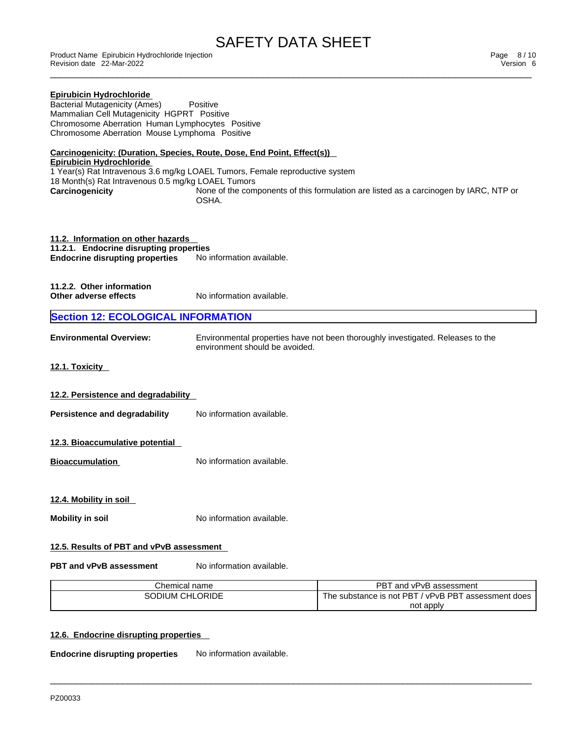Revision date 22-Mar-2022 Version 6

| Product Name Epirubicin Hydrochloride Injection<br>Revision date 22-Mar-2022                                                                                                                                                                     |                                |                                                                                       | Page 8/10<br>Version 6 |
|--------------------------------------------------------------------------------------------------------------------------------------------------------------------------------------------------------------------------------------------------|--------------------------------|---------------------------------------------------------------------------------------|------------------------|
| <b>Epirubicin Hydrochloride</b><br><b>Bacterial Mutagenicity (Ames)</b><br>Mammalian Cell Mutagenicity HGPRT Positive<br>Chromosome Aberration Human Lymphocytes Positive<br>Chromosome Aberration Mouse Lymphoma Positive                       | Positive                       |                                                                                       |                        |
| Carcinogenicity: (Duration, Species, Route, Dose, End Point, Effect(s))<br><b>Epirubicin Hydrochloride</b><br>1 Year(s) Rat Intravenous 3.6 mg/kg LOAEL Tumors, Female reproductive system<br>18 Month(s) Rat Intravenous 0.5 mg/kg LOAEL Tumors |                                |                                                                                       |                        |
| Carcinogenicity                                                                                                                                                                                                                                  | OSHA.                          | None of the components of this formulation are listed as a carcinogen by IARC, NTP or |                        |
| 11.2. Information on other hazards<br>11.2.1. Endocrine disrupting properties<br><b>Endocrine disrupting properties</b>                                                                                                                          | No information available.      |                                                                                       |                        |
| 11.2.2. Other information<br>Other adverse effects                                                                                                                                                                                               | No information available.      |                                                                                       |                        |
| <b>Section 12: ECOLOGICAL INFORMATION</b>                                                                                                                                                                                                        |                                |                                                                                       |                        |
| <b>Environmental Overview:</b>                                                                                                                                                                                                                   | environment should be avoided. | Environmental properties have not been thoroughly investigated. Releases to the       |                        |
| 12.1. Toxicity                                                                                                                                                                                                                                   |                                |                                                                                       |                        |
| 12.2. Persistence and degradability                                                                                                                                                                                                              |                                |                                                                                       |                        |
| Persistence and degradability                                                                                                                                                                                                                    | No information available.      |                                                                                       |                        |
| 12.3. Bioaccumulative potential                                                                                                                                                                                                                  |                                |                                                                                       |                        |
| <b>Bioaccumulation</b>                                                                                                                                                                                                                           | No information available.      |                                                                                       |                        |
| 12.4. Mobility in soil                                                                                                                                                                                                                           |                                |                                                                                       |                        |
| <b>Mobility in soil</b>                                                                                                                                                                                                                          | No information available.      |                                                                                       |                        |
| 12.5. Results of PBT and vPvB assessment                                                                                                                                                                                                         |                                |                                                                                       |                        |
| <b>PBT and vPvB assessment</b>                                                                                                                                                                                                                   | No information available.      |                                                                                       |                        |
| Chemical name                                                                                                                                                                                                                                    |                                | PBT and vPvB assessment                                                               |                        |
| SODIUM CHLORIDE                                                                                                                                                                                                                                  |                                | The substance is not PBT / vPvB PBT assessment does                                   |                        |
|                                                                                                                                                                                                                                                  |                                | not apply                                                                             |                        |

 $\_$  ,  $\_$  ,  $\_$  ,  $\_$  ,  $\_$  ,  $\_$  ,  $\_$  ,  $\_$  ,  $\_$  ,  $\_$  ,  $\_$  ,  $\_$  ,  $\_$  ,  $\_$  ,  $\_$  ,  $\_$  ,  $\_$  ,  $\_$  ,  $\_$  ,  $\_$  ,  $\_$  ,  $\_$  ,  $\_$  ,  $\_$  ,  $\_$  ,  $\_$  ,  $\_$  ,  $\_$  ,  $\_$  ,  $\_$  ,  $\_$  ,  $\_$  ,  $\_$  ,  $\_$  ,  $\_$  ,  $\_$  ,  $\_$  ,

# **12.6. Endocrine disrupting properties**

**Endocrine disrupting properties** No information available.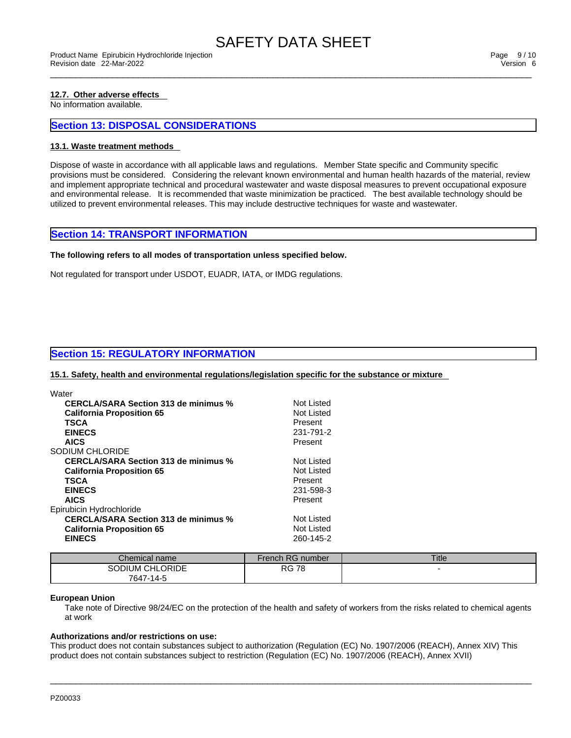## **12.7. Other adverse effects**

No information available.

# **Section 13: DISPOSAL CONSIDERATIONS**

#### **13.1. Waste treatment methods**

Dispose of waste in accordance with all applicable laws and regulations. Member State specific and Community specific provisions must be considered. Considering the relevant known environmental and human health hazards of the material, review and implement appropriate technical and procedural wastewater and waste disposal measures to prevent occupational exposure and environmental release. It is recommended that waste minimization be practiced. The best available technology should be utilized to prevent environmental releases. This may include destructive techniques for waste and wastewater.

### **Section 14: TRANSPORT INFORMATION**

#### **The following refers to all modes of transportation unless specified below.**

Not regulated for transport under USDOT, EUADR, IATA, or IMDG regulations.

# **Section 15: REGULATORY INFORMATION**

**15.1. Safety, health and environmental regulations/legislation specific for the substance or mixture**

| <b>CERCLA/SARA Section 313 de minimus %</b> | Not Listed        |
|---------------------------------------------|-------------------|
|                                             |                   |
| <b>California Proposition 65</b>            | Not Listed        |
| <b>TSCA</b>                                 | Present           |
| <b>EINECS</b>                               | 231-791-2         |
| <b>AICS</b>                                 | Present           |
| SODIUM CHI ORIDE                            |                   |
| <b>CERCLA/SARA Section 313 de minimus %</b> | Not Listed        |
| <b>California Proposition 65</b>            | Not Listed        |
| <b>TSCA</b>                                 | Present           |
| <b>EINECS</b>                               | 231-598-3         |
| <b>AICS</b>                                 | Present           |
| Epirubicin Hydrochloride                    |                   |
| CERCLA/SARA Section 313 de minimus %        | <b>Not Listed</b> |
| <b>California Proposition 65</b>            | Not Listed        |
| <b>EINECS</b>                               | 260-145-2         |
|                                             |                   |

| Chemical name                                | French RG number | <b>Title</b> |
|----------------------------------------------|------------------|--------------|
| <b>CHLORIDE</b><br><b>ODIUM</b><br>7647-14-5 | 70<br>RG.        |              |

#### **European Union**

Take note of Directive 98/24/EC on the protection of the health and safety of workers from the risks related to chemical agents at work

### **Authorizations and/or restrictions on use:**

This product does not contain substances subject to authorization (Regulation (EC) No. 1907/2006 (REACH), Annex XIV) This product does not contain substances subject to restriction (Regulation (EC) No. 1907/2006 (REACH), Annex XVII)